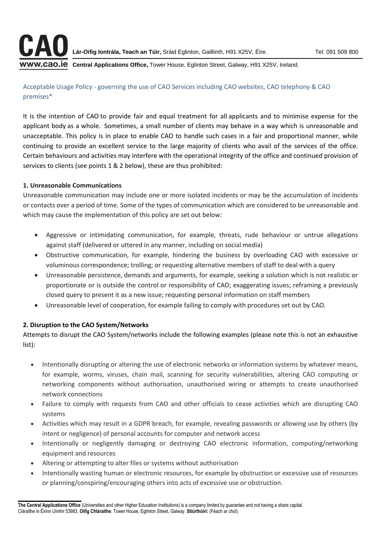

**WW.CAO.IE** Central Applications Office, Tower House, Eglinton Street, Galway, H91 X25V, Ireland.

## Acceptable Usage Policy - governing the use of CAO Services including CAO websites, CAO telephony & CAO premises\*

It is the intention of CAO to provide fair and equal treatment for all applicants and to minimise expense for the applicant body as a whole. Sometimes, a small number of clients may behave in a way which is unreasonable and unacceptable. This policy is in place to enable CAO to handle such cases in a fair and proportional manner, while continuing to provide an excellent service to the large majority of clients who avail of the services of the office. Certain behaviours and activities may interfere with the operational integrity of the office and continued provision of services to clients (see points 1 & 2 below), these are thus prohibited:

## **1. Unreasonable Communications**

Unreasonable communication may include one or more isolated incidents or may be the accumulation of incidents or contacts over a period of time. Some of the types of communication which are considered to be unreasonable and which may cause the implementation of this policy are set out below:

- Aggressive or intimidating communication, for example, threats, rude behaviour or untrue allegations against staff (delivered or uttered in any manner, including on social media)
- Obstructive communication, for example, hindering the business by overloading CAO with excessive or voluminous correspondence; trolling; or requesting alternative members of staff to deal with a query
- Unreasonable persistence, demands and arguments, for example, seeking a solution which is not realistic or proportionate or is outside the control or responsibility of CAO; exaggerating issues; reframing a previously closed query to present it as a new issue; requesting personal information on staff members
- Unreasonable level of cooperation, for example failing to comply with procedures set out by CAO.

## **2. Disruption to the CAO System/Networks**

Attempts to disrupt the CAO System/networks include the following examples (please note this is not an exhaustive list):

- Intentionally disrupting or altering the use of electronic networks or information systems by whatever means, for example, worms, viruses, chain mail, scanning for security vulnerabilities, altering CAO computing or networking components without authorisation, unauthorised wiring or attempts to create unauthorised network connections
- Failure to comply with requests from CAO and other officials to cease activities which are disrupting CAO systems
- Activities which may result in a GDPR breach, for example, revealing passwords or allowing use by others (by intent or negligence) of personal accounts for computer and network access
- Intentionally or negligently damaging or destroying CAO electronic information, computing/networking equipment and resources
- Altering or attempting to alter files or systems without authorisation
- Intentionally wasting human or electronic resources, for example by obstruction or excessive use of resources or planning/conspiring/encouraging others into acts of excessive use or obstruction.